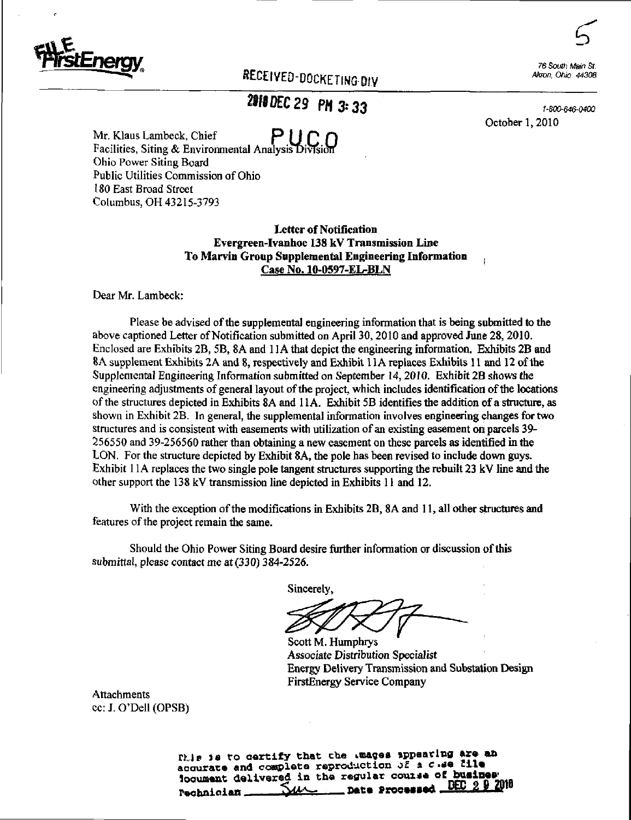

RECEIVED-DOCKETING BIV

16 South Main St. Akron. Ohio 44308

## 2010 DEC 29 PM 3:33

1-800-646-0400 October 1,2010

Mr. Klaus Lambeck, Chief  $P \cup C \cap$ Facilities, Siting & Environmental AnalysisDivlsion Ohio Power Siting Board Public Utilities Commission of Ohio 180 East Broad Street Columbus, OH 43215-3793

> Letter of Notification Evergreen-Ivanhoe 138 kV Transmission Line To Marvin Group Supplemental Engineering Information Case No. 10-0597-EL-BLN

Dear Mr. Lambeck:

Please be advised of the supplemental engineering information that is being submitted to the above captioned Letter of Notification submitted on April 30,2010 and approved June 28, 2010. Enclosed are Exhibits 2B, 5B, 8A and 1 lA that depict the engineering infonnation. Exhibits 2B and BA supplement Exhibits 2A and 8, respectively and Exhibit 11A replaces Exhibits 11 and 12 of the Supplemental Engineering Information submitted on September 14,2010. Exhibit 2B shows the engineering adjustments of general layout of the project, which includes identification of the locations of the structures depicted in Exhibits 8A and 1 lA. Exhibit 5B identifies the addition of a structure, as shown in Exhibit 2B. In general, the supplemental infonnation involves engineering changes for two structures and is consistent with easements with utilization of an existing easement on parcels 39- 256550 and 39-256560 rather than obtaining a new easement on these parcels as identified in the LON. For the structure depicted by Exhibit 8A, the pole has been revised to include down guys. Exhibit 11A replaces the two single pole tangent structures supporting the rebuilt 23 kV line and the other support the 138 kV transmission line depicted in Exhibits 11 and 12.

With the exception of the modifications in Exhibits 2B, 8A and 11, all other structures and features of the project remain the same.

Should the Ohio Power Siting Board desire further information or discussion of this submittal, please contact me at (330) 384-2526.

Sincerely,

Scott M. Humphrys Associate Distribution Specialist Energy Delivery Transmission and Substation Design FirstEnergy Service Company

Attachments cc: J. O'Dell (OPSB)

> fhis is to certify that the Luages appearing are an accurate and complete reproduction of a c  $a$ s Elle looument delivered in the regular course of busines Pechnician SAAC Date Processed DEC 2 9 2010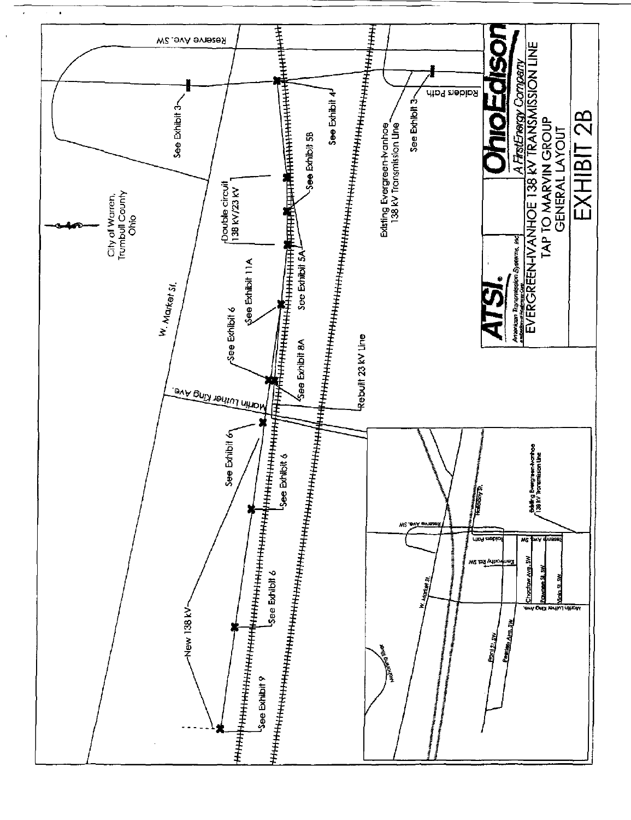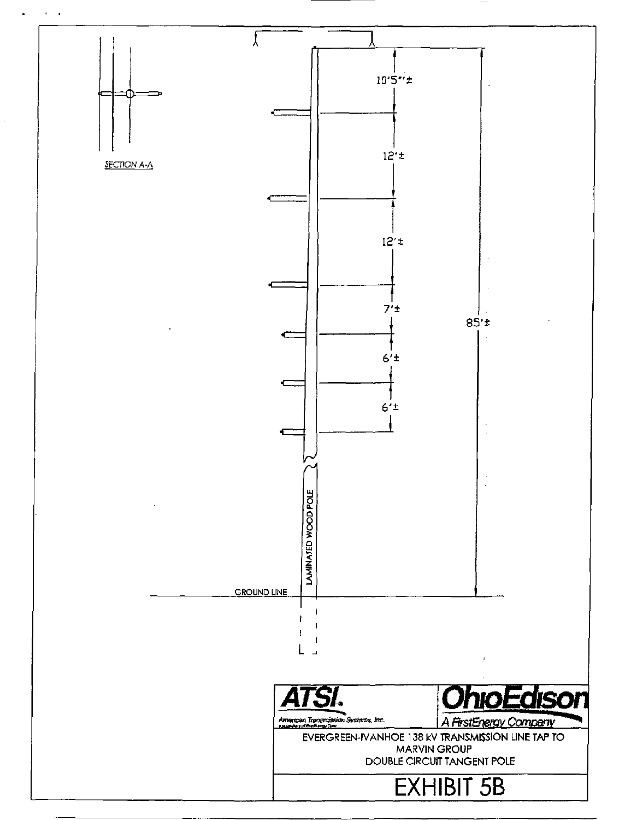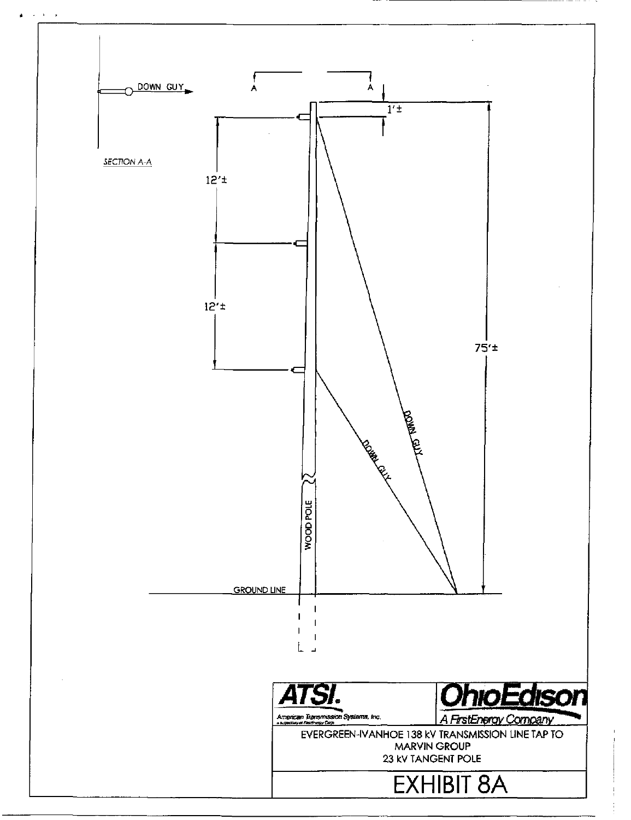